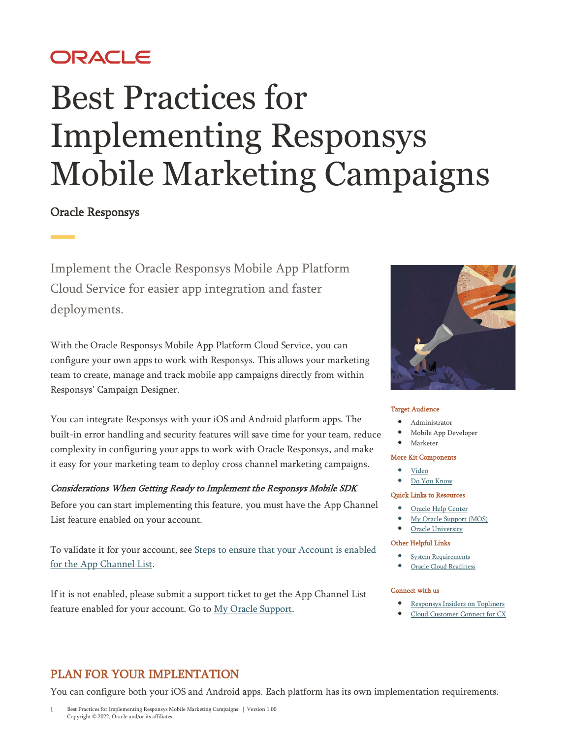# ORACLE

# Best Practices for Implementing Responsys Mobile Marketing Campaigns

## Oracle Responsys

Implement the Oracle Responsys Mobile App Platform Cloud Service for easier app integration and faster deployments.

With the Oracle Responsys Mobile App Platform Cloud Service, you can configure your own apps to work with Responsys. This allows your marketing team to create, manage and track mobile app campaigns directly from within Responsys' Campaign Designer.

You can integrate Responsys with your iOS and Android platform apps. The built-in error handling and security features will save time for your team, reduce complexity in configuring your apps to work with Oracle Responsys, and make it easy for your marketing team to deploy cross channel marketing campaigns.

#### Considerations When Getting Ready to Implement the Responsys Mobile SDK

Before you can start implementing this feature, you must have the App Channel List feature enabled on your account.

To validate it for your account, se[e Steps to ensure that your Account is enabled](https://docs.oracle.com/en/cloud/saas/marketing/responsys-develop-mobile/pdf/mobile-app-config-guide.pdf)  for the App [Channel List.](https://docs.oracle.com/en/cloud/saas/marketing/responsys-develop-mobile/pdf/mobile-app-config-guide.pdf)

If it is not enabled, please submit a support ticket to get the App Channel List feature enabled for your account. Go to [My Oracle Support.](https://support.oracle.com/portal/)



#### Target Audience

- Administrator
- Mobile App Developer
- Marketer

#### More Kit Components

- [Video](https://videohub.oracle.com/media/Oracle+Responsys+Feature+KitA+Responsys+Mobile+App+Campaigns+/1_vwj3tlmt)
- [Do You Know](https://community.oracle.com/topliners/discussion/4477869/oracle-responsys-feature-kit-responsys-mobile-app-campaigns)

#### Quick Links to Resources

- [Oracle Help Center](https://docs.oracle.com/en/cloud/saas/marketing/responsys.html)
- [My Oracle Support \(MOS\)](https://support.oracle.com/)
- [Oracle University](https://learn.oracle.com/ols/home/37002#filtersGroup1=&filtersGroup2=&filtersGroup3=&filtersGroup4=&filtersGroup5=&filtersGroup6=&filtersGroup7=&filtersSearch=)

#### Other Helpful Links

- [System Requirements](https://docs.oracle.com/en/cloud/saas/marketing/responsys-user/Overview_SystemRequirements.htm)
- [Oracle Cloud Readiness](https://www.oracle.com/webfolder/technetwork/tutorials/tutorial/readiness/offering.html?offering=marketing-responsys-20)

#### Connect with us

- **•** [Responsys Insiders on Topliners](https://community.oracle.com/topliners/group/1711-responsys-insiders)
- [Cloud Customer Connect for CX](https://cloudcustomerconnect.oracle.com/pages/home)

## PLAN FOR YOUR IMPLENTATION

You can configure both your iOS and Android apps. Each platform has its own implementation requirements.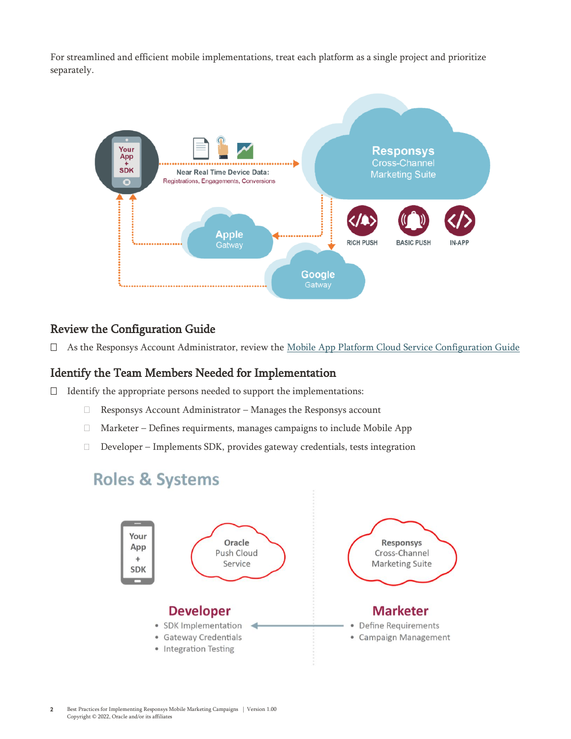For streamlined and efficient mobile implementations, treat each platform as a single project and prioritize separately.



#### Review the Configuration Guide

As the Responsys Account Administrator, review the [Mobile App Platform Cloud Service Configuration Guide](https://docs.oracle.com/en/cloud/saas/marketing/responsys-develop-mobile/pdf/mobile-app-config-guide.pdf)

#### Identify the Team Members Needed for Implementation

- $\Box$  Identify the appropriate persons needed to support the implementations:
	- Responsys Account Administrator Manages the Responsys account
	- Marketer Defines requirments, manages campaigns to include Mobile App
	- Developer Implements SDK, provides gateway credentials, tests integration

## **Roles & Systems**

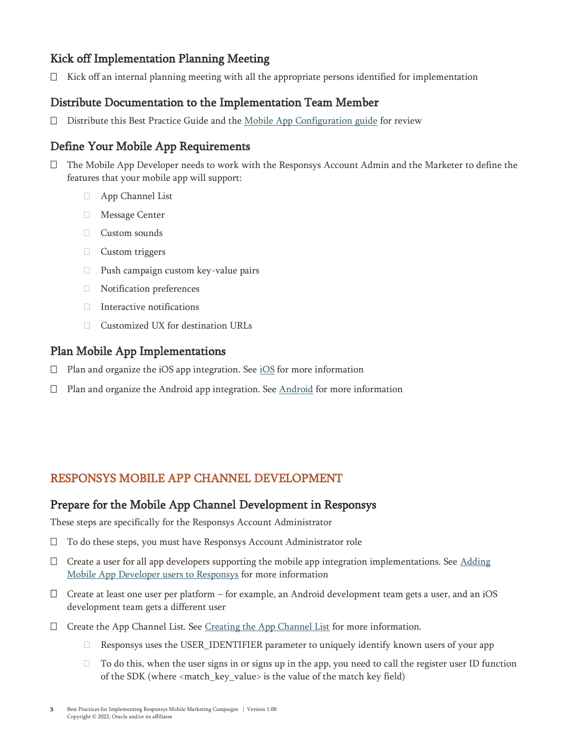## Kick off Implementation Planning Meeting

 $\Box$  Kick off an internal planning meeting with all the appropriate persons identified for implementation

#### Distribute Documentation to the Implementation Team Member

Distribute this Best Practice Guide and th[e Mobile App Configuration guide](https://docs.oracle.com/en/cloud/saas/marketing/responsys-develop-mobile/dev-console/dev-console.htm) for review

#### Define Your Mobile App Requirements

- The Mobile App Developer needs to work with the Responsys Account Admin and the Marketer to define the features that your mobile app will support:
	- App Channel List
	- Message Center
	- Custom sounds
	- Custom triggers
	- $\Box$  Push campaign custom key-value pairs
	- Notification preferences
	- Interactive notifications
	- □ Customized UX for destination URLs

#### Plan Mobile App Implementations

- $\square$  Plan and organize the [iOS](https://docs.oracle.com/en/cloud/saas/marketing/responsys-develop-mobile/ios/ios.htm) app integration. See iOS for more information
- $\square$  Plan and organize the [Android](https://docs.oracle.com/en/cloud/saas/marketing/responsys-develop-mobile/android/android.htm) app integration. See  $\underline{\text{Android}}$  for more information

## RESPONSYS MOBILE APP CHANNEL DEVELOPMENT

#### Prepare for the Mobile App Channel Development in Responsys

These steps are specifically for the Responsys Account Administrator

- □ To do these steps, you must have Responsys Account Administrator role
- $\Box$  Create a user for all app developers supporting the mobile app integration implementations. See Adding [Mobile App Developer users to Responsys](https://docs.oracle.com/en/cloud/saas/marketing/responsys-develop-mobile/pdf/mobile-app-config-guide.pdf) for more information
- $\Box$  Create at least one user per platform for example, an Android development team gets a user, and an iOS development team gets a different user
- $\Box$  Create the App Channel List. See [Creating the App Channel List](https://docs.oracle.com/en/cloud/saas/marketing/responsys-develop-mobile/dev-console/app-design.htm) for more information.
	- Responsys uses the USER\_IDENTIFIER parameter to uniquely identify known users of your app
	- $\Box$  To do this, when the user signs in or signs up in the app, you need to call the register user ID function of the SDK (where <match\_key\_value> is the value of the match key field)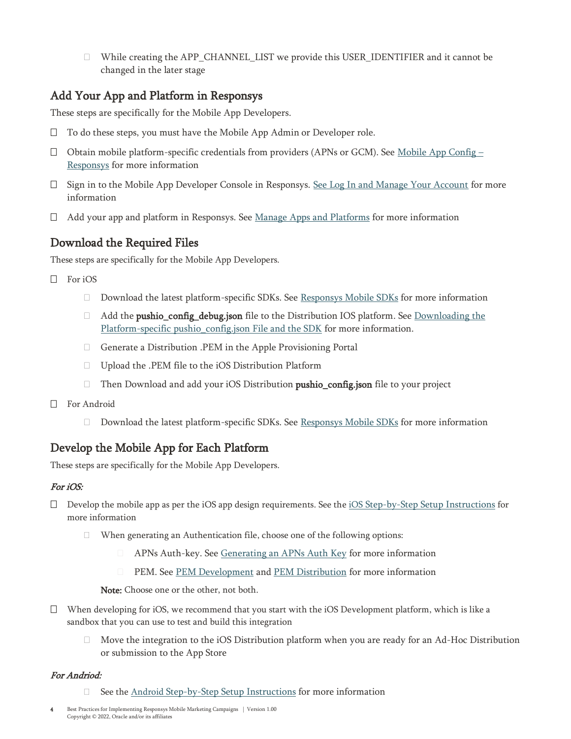$\Box$  While creating the APP\_CHANNEL\_LIST we provide this USER\_IDENTIFIER and it cannot be changed in the later stage

## Add Your App and Platform in Responsys

These steps are specifically for the Mobile App Developers.

- □ To do these steps, you must have the Mobile App Admin or Developer role.
- $\Box$  Obtain mobile platform-specific credentials from providers (APNs or GCM). See [Mobile App Config](https://docs.oracle.com/en/cloud/saas/marketing/responsys-develop-mobile/dev-console/dev-console.htm)  [Responsys](https://docs.oracle.com/en/cloud/saas/marketing/responsys-develop-mobile/dev-console/dev-console.htm) for more information
- $\Box$  Sign in to the Mobile App Developer Console in Responsys. [See Log In and Manage Your Account](https://docs.oracle.com/en/cloud/saas/marketing/responsys-develop-mobile/dev-console/login.htm) for more information
- $\Box$  Add your app and platform in Responsys. See [Manage Apps and Platforms](https://docs.oracle.com/en/cloud/saas/marketing/responsys-develop-mobile/dev-console/setup.htm) for more information

## Download the Required Files

These steps are specifically for the Mobile App Developers.

- $\Box$  For iOS
	- $\Box$  Download the latest platform-specific SDKs. See [Responsys Mobile SDKs](https://www.oracle.com/downloads/applications/cx/responsys-mobile-sdk.html#xd_co_f=MjNlMjZhODkwYjc4Nzk0MWY5MTE1ODg4MTkyNzMwNDM=~) for more information
	- □ Add the **pushio\_config\_debug.json** file to the Distribution IOS platform. See <u>Downloading the</u> [Platform-specific pushio\\_config.json File and the SDK](https://docs.oracle.com/en/cloud/saas/marketing/responsys-develop-mobile/dev-console/setup.htm) for more information.
	- Generate a [Distribution .PEM in the Apple Provisioning Portal](https://docs.oracle.com/en/cloud/saas/marketing/responsys-develop-mobile/ios/distribution-pem.htm)
	- Upload the .PEM file to the iOS Distribution Platform
	- $\Box$  Then Download and add your iOS Distribution **pushio\_config.json** file to your project
- □ For Android
	- $\Box$  Download the latest platform-specific SDKs. See [Responsys Mobile SDKs](https://www.oracle.com/downloads/applications/cx/responsys-mobile-sdk.html#xd_co_f=MjNlMjZhODkwYjc4Nzk0MWY5MTE1ODg4MTkyNzMwNDM=~) for more information

## Develop the Mobile App for Each Platform

These steps are specifically for the Mobile App Developers.

#### For iOS:

- $\square$  Develop the mobile app as per the iOS app design requirements. See the iOS [Step-by-Step Setup Instructions](https://docs.oracle.com/en/cloud/saas/marketing/responsys-develop-mobile/ios/step-by-step.htm) for more information
	- When generating an Authentication file, choose one of the following options:
		- **EXTERNS Auth-key. Se[e Generating an APNs Auth Key](https://docs.oracle.com/en/cloud/saas/marketing/responsys-develop-mobile/ios/auth-key.htm) for more information**
		- **EM.** See <u>PEM Development</u> an[d PEM Distribution](https://docs.oracle.com/en/cloud/saas/marketing/responsys-develop-mobile/ios/development-pem.htm) for more information

Note: Choose one or the other, not both.

- $\Box$  When developing for iOS, we recommend that you start with the iOS Development platform, which is like a sandbox that you can use to test and build this integration
	- $\Box$  Move the integration to the iOS Distribution platform when you are ready for an Ad-Hoc Distribution or submission to the App Store

#### For Andriod:

See the Android [Step-by-Step Setup Instructions](https://docs.oracle.com/en/cloud/saas/marketing/responsys-develop-mobile/android/step-by-step.htm) for more information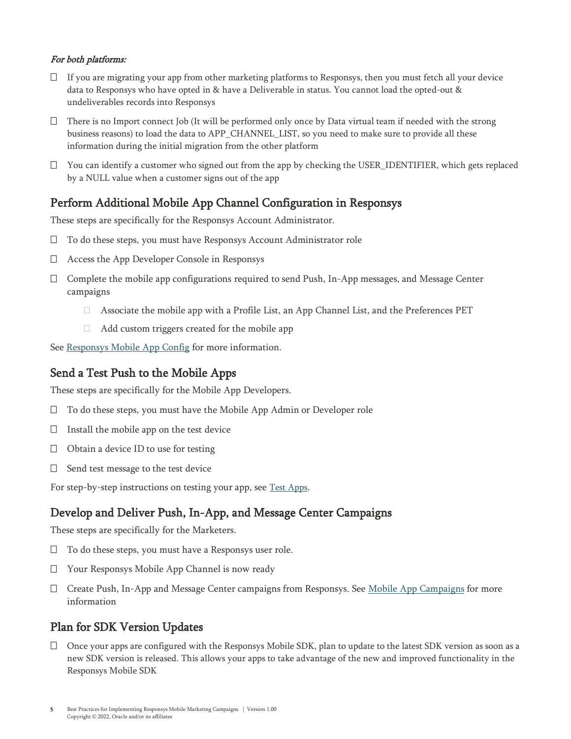#### For both platforms:

- $\Box$  If you are migrating your app from other marketing platforms to Responsys, then you must fetch all your device data to Responsys who have opted in & have a Deliverable in status. You cannot load the opted-out & undeliverables records into Responsys
- $\Box$  There is no Import connect Job (It will be performed only once by Data virtual team if needed with the strong business reasons) to load the data to APP\_CHANNEL\_LIST, so you need to make sure to provide all these information during the initial migration from the other platform
- $\Box$  You can identify a customer who signed out from the app by checking the USER\_IDENTIFIER, which gets replaced by a NULL value when a customer signs out of the app

## Perform Additional Mobile App Channel Configuration in Responsys

These steps are specifically for the Responsys Account Administrator.

- □ To do these steps, you must have Responsys Account Administrator role
- Access the App Developer Console in Responsys
- $\Box$  Complete the mobile app configurations required to send Push, In-App messages, and Message Center campaigns
	- Associate the mobile app with a Profile List, an App Channel List, and the Preferences PET
	- Add custom triggers created for the mobile app

See [Responsys Mobile App Config](https://docs.oracle.com/en/cloud/saas/marketing/responsys-develop-mobile/dev-console/postconfig.htm) for more information.

#### Send a Test Push to the Mobile Apps

These steps are specifically for the Mobile App Developers.

- □ To do these steps, you must have the Mobile App Admin or Developer role
- $\Box$  Install the mobile app on the test device
- $\Box$  Obtain a device ID to use for testing
- $\Box$  Send test message to the test device

For step-by-step instructions on testing your app, see [Test Apps.](https://docs.oracle.com/en/cloud/saas/marketing/responsys-develop-mobile/dev-console/test.htm)

#### Develop and Deliver Push, In-App, and Message Center Campaigns

These steps are specifically for the Marketers.

- $\Box$  To do these steps, you must have a Responsys user role.
- Your Responsys Mobile App Channel is now ready
- □ Create Push, In-App and Message Center campaigns from Responsys. See [Mobile App](https://docs.oracle.com/en/cloud/saas/marketing/responsys-user/Push_Overview.htm) Campaigns for more information

#### Plan for SDK Version Updates

 Once your apps are configured with the Responsys Mobile SDK, plan to update to the latest SDK version as soon as a new SDK version is released. This allows your apps to take advantage of the new and improved functionality in the Responsys Mobile SDK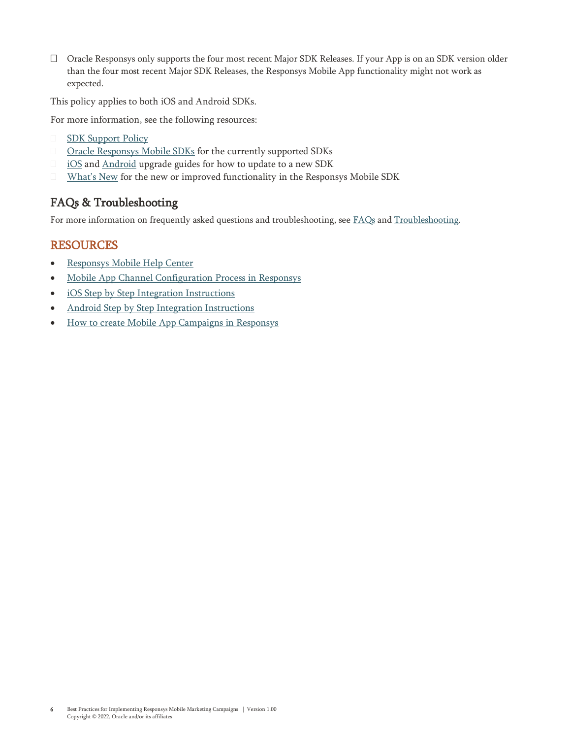Oracle Responsys only supports the four most recent Major SDK Releases. If your App is on an SDK version older than the four most recent Major SDK Releases, the Responsys Mobile App functionality might not work as expected.

This policy applies to both iOS and Android SDKs.

For more information, see the following resources:

- **[SDK Support Policy](https://docs.oracle.com/en/cloud/saas/marketing/responsys-develop-mobile/support-policy/support-policy.htm)**
- **[Oracle Responsys Mobile SDKs](https://www.oracle.com/downloads/applications/cx/responsys-mobile-sdk.html)** for the currently supported SDKs
- **[iOS](♣%09https:/docs.oracle.com/en/cloud/saas/marketing/responsys-develop-mobile/ios/upgrade.htm)** an[d Android](♣%09https:/docs.oracle.com/en/cloud/saas/marketing/responsys-develop-mobile/android/upgrade.htm) upgrade guides for how to update to a new SDK
- [What's New](https://docs.oracle.com/en/cloud/saas/marketing/responsys-develop-mobile/whats-new/whats-new.htm) for the new or improved functionality in the Responsys Mobile SDK

## FAQs & Troubleshooting

For more information on frequently asked questions and troubleshooting, see [FAQs](https://docs.oracle.com/en/cloud/saas/marketing/responsys-develop-mobile/faqs/index.htm) and [Troubleshooting.](https://docs.oracle.com/en/cloud/saas/marketing/responsys-develop-mobile/troubleshooting/troubleshooting.htm)

#### RESOURCES

- [Responsys Mobile Help Center](https://docs.oracle.com/en/cloud/saas/marketing/responsys-develop-mobile/Index.htm)
- [Mobile App Channel Configuration Process in Responsys](https://docs.oracle.com/en/cloud/saas/marketing/responsys-develop-mobile/dev-console/dev-console.htm)
- [iOS Step by Step Integration Instructions](https://docs.oracle.com/en/cloud/saas/marketing/responsys-develop-mobile/ios/ios.htm)
- [Android Step by Step Integration Instructions](https://docs.oracle.com/en/cloud/saas/marketing/responsys-develop-mobile/android/android.htm)
- [How to create Mobile App Campaigns in Responsys](https://docs.oracle.com/en/cloud/saas/marketing/responsys-user/Push_Overview.htm)